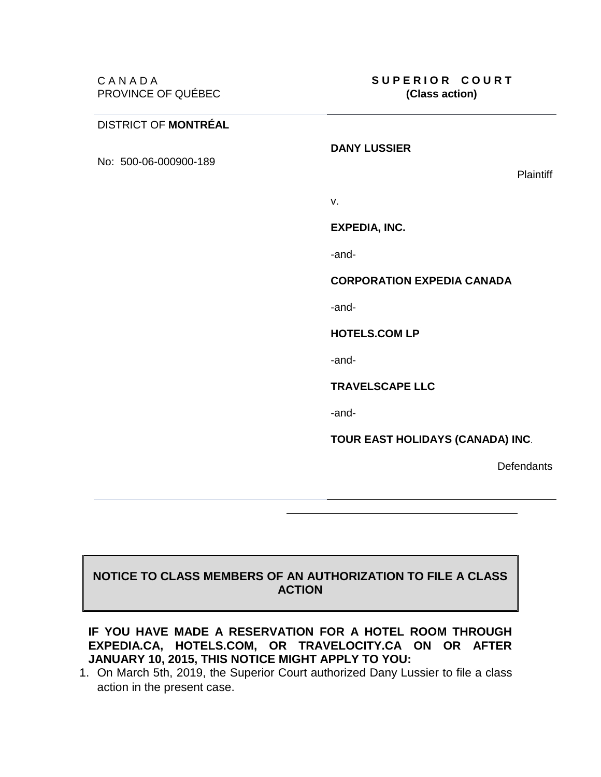## DISTRICT OF **MONTRÉAL**

No: 500-06-000900-189

**Plaintiff** 

v.

## **EXPEDIA, INC.**

**DANY LUSSIER**

-and-

## **CORPORATION EXPEDIA CANADA**

-and-

**HOTELS.COM LP**

-and-

**TRAVELSCAPE LLC**

-and-

**TOUR EAST HOLIDAYS (CANADA) INC**.

**Defendants** 

## **NOTICE TO CLASS MEMBERS OF AN AUTHORIZATION TO FILE A CLASS ACTION**

**IF YOU HAVE MADE A RESERVATION FOR A HOTEL ROOM THROUGH EXPEDIA.CA, HOTELS.COM, OR TRAVELOCITY.CA ON OR AFTER JANUARY 10, 2015, THIS NOTICE MIGHT APPLY TO YOU:**

1. On March 5th, 2019, the Superior Court authorized Dany Lussier to file a class action in the present case.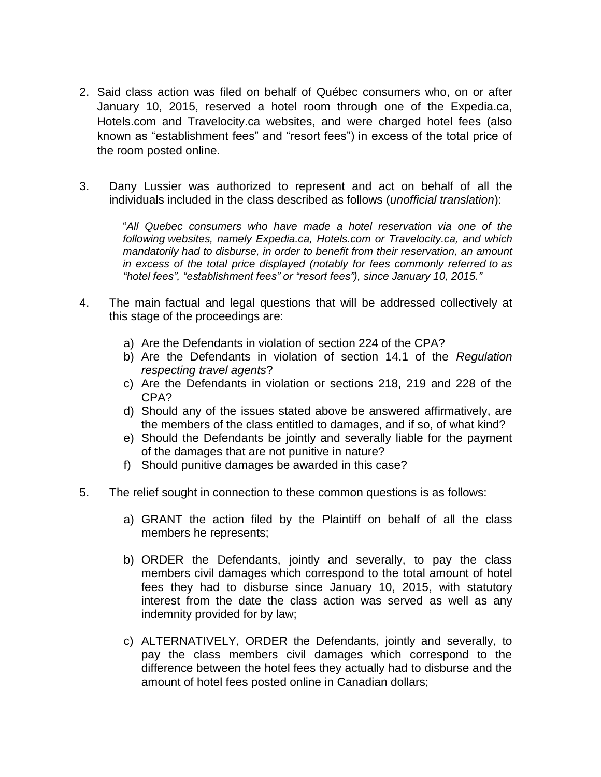- 2. Said class action was filed on behalf of Québec consumers who, on or after January 10, 2015, reserved a hotel room through one of the Expedia.ca, Hotels.com and Travelocity.ca websites, and were charged hotel fees (also known as "establishment fees" and "resort fees") in excess of the total price of the room posted online.
- 3. Dany Lussier was authorized to represent and act on behalf of all the individuals included in the class described as follows (*unofficial translation*):

"*All Quebec consumers who have made a hotel reservation via one of the following websites, namely Expedia.ca, Hotels.com or Travelocity.ca, and which mandatorily had to disburse, in order to benefit from their reservation, an amount in excess of the total price displayed (notably for fees commonly referred to as "hotel fees", "establishment fees" or "resort fees"), since January 10, 2015."*

- 4. The main factual and legal questions that will be addressed collectively at this stage of the proceedings are:
	- a) Are the Defendants in violation of section 224 of the CPA?
	- b) Are the Defendants in violation of section 14.1 of the *Regulation respecting travel agents*?
	- c) Are the Defendants in violation or sections 218, 219 and 228 of the CPA?
	- d) Should any of the issues stated above be answered affirmatively, are the members of the class entitled to damages, and if so, of what kind?
	- e) Should the Defendants be jointly and severally liable for the payment of the damages that are not punitive in nature?
	- f) Should punitive damages be awarded in this case?
- 5. The relief sought in connection to these common questions is as follows:
	- a) GRANT the action filed by the Plaintiff on behalf of all the class members he represents;
	- b) ORDER the Defendants, jointly and severally, to pay the class members civil damages which correspond to the total amount of hotel fees they had to disburse since January 10, 2015, with statutory interest from the date the class action was served as well as any indemnity provided for by law;
	- c) ALTERNATIVELY, ORDER the Defendants, jointly and severally, to pay the class members civil damages which correspond to the difference between the hotel fees they actually had to disburse and the amount of hotel fees posted online in Canadian dollars;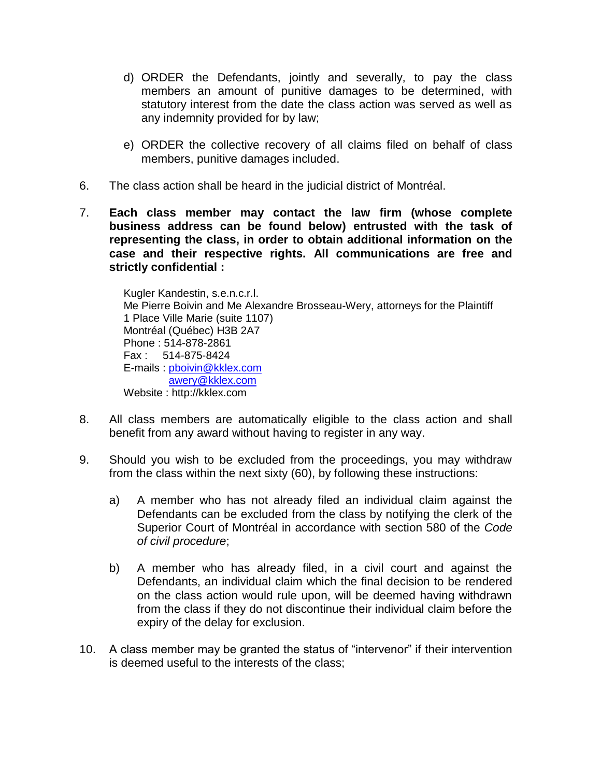- d) ORDER the Defendants, jointly and severally, to pay the class members an amount of punitive damages to be determined, with statutory interest from the date the class action was served as well as any indemnity provided for by law;
- e) ORDER the collective recovery of all claims filed on behalf of class members, punitive damages included.
- 6. The class action shall be heard in the judicial district of Montréal.
- 7. **Each class member may contact the law firm (whose complete business address can be found below) entrusted with the task of representing the class, in order to obtain additional information on the case and their respective rights. All communications are free and strictly confidential :**

Kugler Kandestin, s.e.n.c.r.l. Me Pierre Boivin and Me Alexandre Brosseau-Wery, attorneys for the Plaintiff 1 Place Ville Marie (suite 1107) Montréal (Québec) H3B 2A7 Phone : 514-878-2861 Fax : 514-875-8424 E-mails : [pboivin@kklex.com](mailto:pboivin@kklex.com) [awery@kklex.com](mailto:awery@kklex.com) Website : http://kklex.com

- 8. All class members are automatically eligible to the class action and shall benefit from any award without having to register in any way.
- 9. Should you wish to be excluded from the proceedings, you may withdraw from the class within the next sixty (60), by following these instructions:
	- a) A member who has not already filed an individual claim against the Defendants can be excluded from the class by notifying the clerk of the Superior Court of Montréal in accordance with section 580 of the *Code of civil procedure*;
	- b) A member who has already filed, in a civil court and against the Defendants, an individual claim which the final decision to be rendered on the class action would rule upon, will be deemed having withdrawn from the class if they do not discontinue their individual claim before the expiry of the delay for exclusion.
- 10. A class member may be granted the status of "intervenor" if their intervention is deemed useful to the interests of the class;